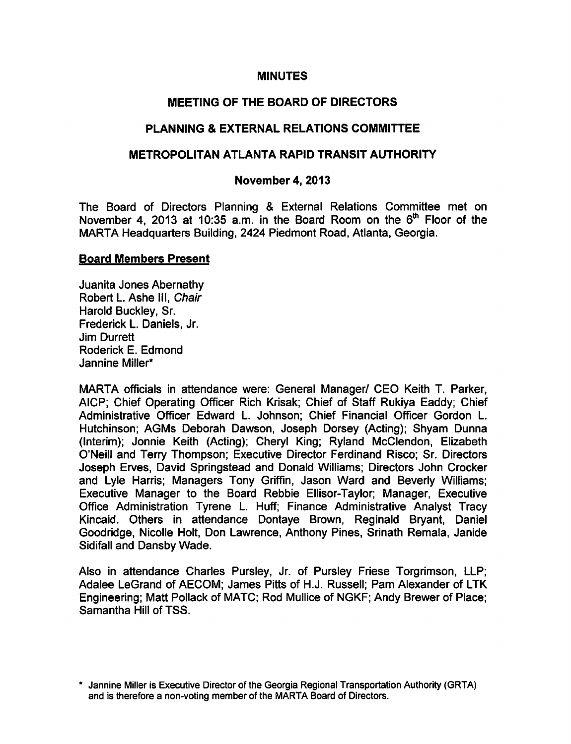### **MINUTES**

# MEETING OF THE BOARD OF DIRECTORS

# PLANNING & EXTERNAL RELATIONS COMMITTEE

### METROPOLITAN ATLANTA RAPID TRANSIT AUTHORITY

### November 4, 2013

The Board of Directors Planning & External Relations Committee met on November 4, 2013 at 10:35 a.m. in the Board Room on the  $6<sup>th</sup>$  Floor of the MARTA Headquarters Building, 2424 Piedmont Road, Atlanta, Georgia.

#### Board Members Present

Juanita Jones Abernathy Robert L. Ashe III, Chair Harold Buckley, Sr. Frederick L. Daniels, Jr. Jim Durrett Roderick E. Edmond Jannine Miller\*

MARTA officials in attendance were: General Manager/ CEO Keith T. Parker, AICP; Chief Operating Officer Rich Krisak; Chief of Staff Rukiya Eaddy; Chief Administrative Officer Edward L. Johnson; Chief Financial Officer Gordon L. Hutchinson; AGMs Deborah Dawson, Joseph Dorsey (Acting); Shyam Dunna (Interim); Jonnie Keith (Acting); Cheryl King; Ryland McClendon, Elizabeth O'Neill and Terry Thompson; Executive Director Ferdinand Risco; Sr. Directors Joseph Erves, David Springstead and Donald Williams; Directors John Crocker and Lyle Harris; Managers Tony Griffin, Jason Ward and Beverly Williams; Executive Manager to the Board Rebbie Ellisor-Taylor; Manager, Executive Office Administration Tyrene L. Huff; Finance Administrative Analyst Tracy Kincaid. Others in attendance Dontaye Brown, Reginald Bryant, Daniel Goodridge, Nicolle Holt, Don Lawrence, Anthony Pines, Srinath Remala, Janide Sidifall and Dansby Wade.

Also in attendance Charles Pursley, Jr. of Pursley Friese Torgrimson, LLP; Adalee LeGrand of AECOM; James Pitts of H.J. Russell; Pam Alexander of LTK Engineering; Matt Pollack of MATC; Rod Mullice of NGKF; Andy Brewer of Place; Samantha Hill of TSS.

Jannine Miller is Executive Director of the Georgia Regional Transportation Authority (GRTA) and is therefore a non-voting member of the MARTA Board of Directors.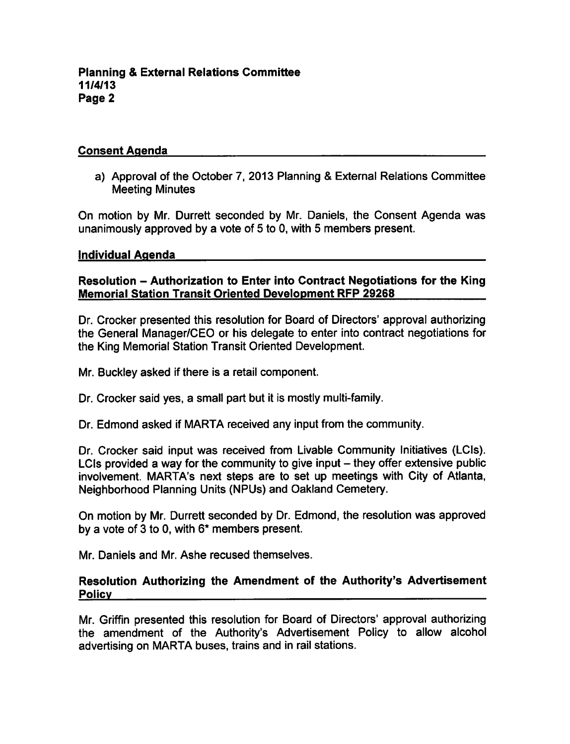# Consent Agenda

a) Approval of the October 7, 2013 Planning & External Relations Committee Meeting Minutes

On motion by Mr. Durrett seconded by Mr. Daniels, the Consent Agenda was unanimously approved by a vote of  $5$  to 0, with  $5$  members present.

#### Individual Agenda

# Resolution – Authorization to Enter into Contract Negotiations for the King Memorial Station Transit Oriented Development RFP 29268

Dr. Crocker presented this resolution for Board of Directors' approval authorizing the General Manager/CEO or his delegate to enter into contract negotiations for the King Memorial Station Transit Oriented Development.

Mr. Buckley asked if there is a retail component.

Dr. Crocker said yes, a small part but it is mostly multi-family.

Dr. Edmond asked if MARTA received any input from the community.

Dr. Crocker said input was received from Livable Community Initiatives (LCIs). LCIs provided a way for the community to give input  $-$  they offer extensive public involvement. MARTA's next steps are to set up meetings with City of Atlanta, Neighborhood Planning Units (NPUs) and Oakland Cemetery.

On motion by Mr. Durrett seconded by Dr. Edmond, the resolution was approved by a vote of 3 to 0, with  $6*$  members present.

Mr. Daniels and Mr. Ashe recused themselves.

### Resolution Authorizing the Amendment of the Authority's Advertisement Policy

Mr. Griffin presented this resolution for Board of Directors' approval authorizing the amendment of the Authority's Advertisement Policy to allow alcohol advertising on MARTA buses, trains and in rail stations.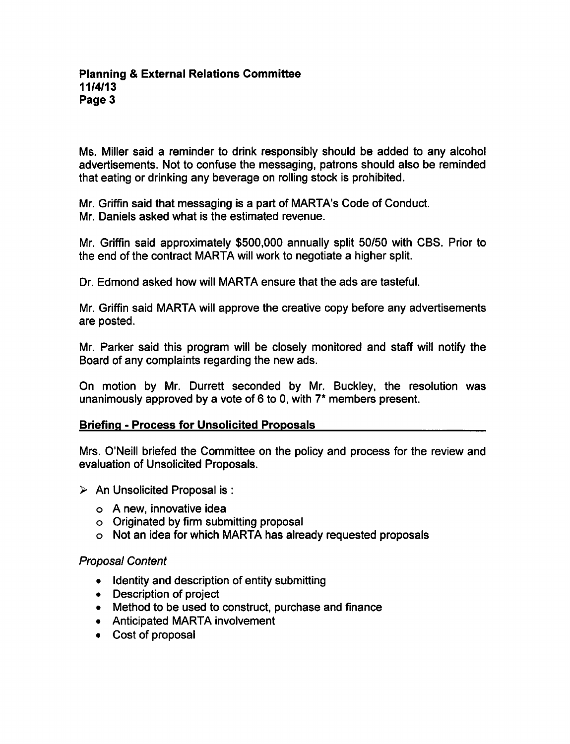Ms. Miller said a reminder to drink responsibly should be added to any alcohol advertisements. Not to confuse the messaging, patrons should also be reminded that eating or drinking any beverage on rolling stock is prohibited.

Mr. Griffin said that messaging is a part of MARTA's Code of Conduct. Mr. Daniels asked what is the estimated revenue.

Mr. Griffin said approximately \$500,000 annually split 50/50 with CBS. Prior to the end of the contract MARTA will work to negotiate a higher split.

Dr. Edmond asked how will MARTA ensure that the ads are tasteful.

Mr. Griffin said MARTA will approve the creative copy before any advertisements are posted.

Mr. Parker said this program will be closely monitored and staff will notify the Board of any complaints regarding the new ads.

On motion by Mr. Durrett seconded by Mr. Buckley, the resolution was unanimously approved by a vote of 6 to 0, with  $7^*$  members present.

# **Briefing - Process for Unsolicited Proposals**

Mrs. O'Neill briefed the Committee on the policy and process for the review and evaluation of Unsolicited Proposals.

- $\triangleright$  An Unsolicited Proposal is :
	- $o$  A new, innovative idea
	- Originated by firm submitting proposal
	- Not an idea for which MARTA has already requested proposals

# Proposal Content

- Identity and description of entity submitting
- Description of project
- Method to be used to construct, purchase and finance
- Anticipated MARTA involvement
- Cost of proposal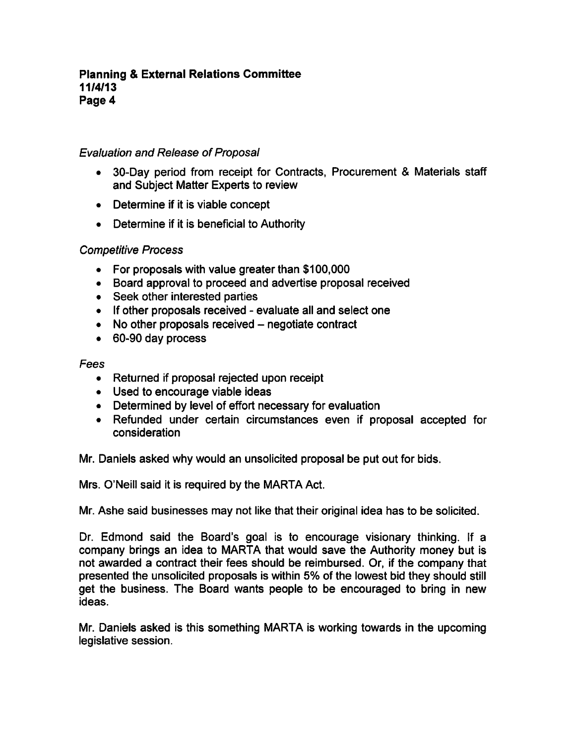# Evaluation and Release of Proposal

- 30-Day period from receipt for Contracts, Procurement & Materials staff and Subject Matter Experts to review
- Determine if it is viable concept
- Determine if it is beneficial to Authority

# Competitive Process

- For proposals with value greater than \$100,000
- Board approval to proceed and advertise proposal received
- Seek other interested parties
- If other proposals received evaluate all and select one
- $\bullet$  No other proposals received  $-$  negotiate contract
- 60-90 day process

# Fees

- Returned if proposal rejected upon receipt
- Used to encourage viable ideas
- Determined by level of effort necessary for evaluation
- Refunded under certain circumstances even if proposal accepted for consideration

Mr. Daniels asked why would an unsolicited proposal be put out for bids.

Mrs. O'Neill said it is required by the MARTA Act.

Mr. Ashe said businesses may not like that their original idea has to be solicited.

Dr. Edmond said the Board's goal is to encourage visionary thinking. If a company brings an idea to MARTA that would save the Authority money but is not awarded a contract their fees should be reimbursed. Or, if the company that presented the unsolicited proposals is within 5% of the lowest bid they should still get the business. The Board wants people to be encouraged to bring in new ideas.

Mr. Daniels asked is this something MARTA is working towards in the upcoming legislative session.